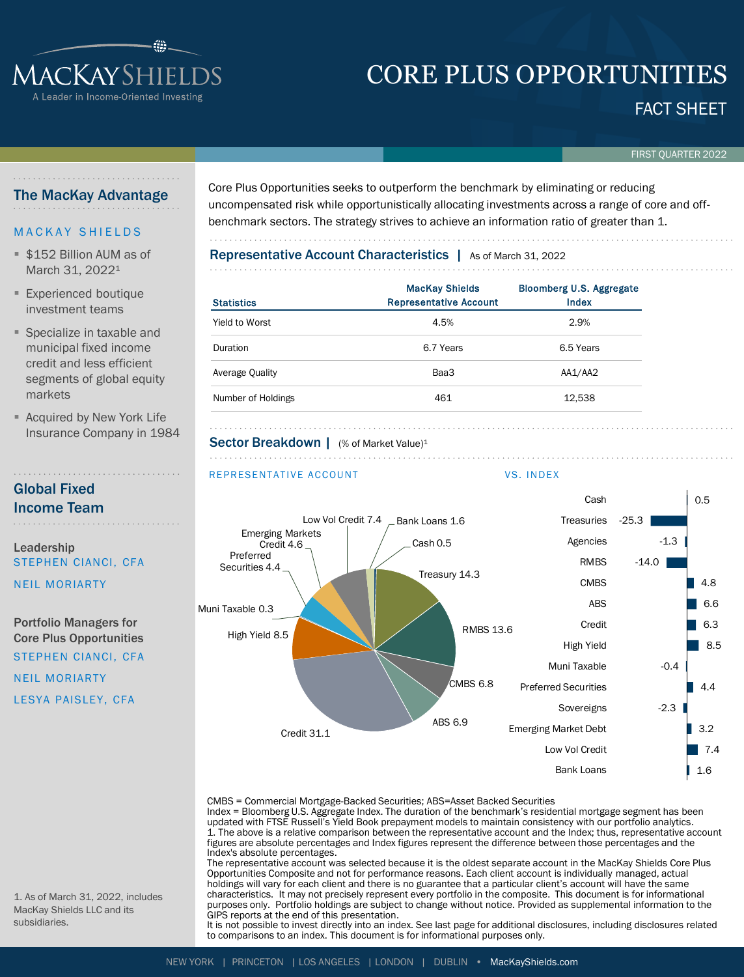# CORE PLUS OPPORTUNITIES

FACT SHEET

FIRST QUARTER 2022

### The MacKay Advantage

MACKAYSHIEL

Leader in Income-Oriented Investing

### **MACKAY SHIELDS**

- **\$152 Billion AUM as of** March 31, 2022<sup>1</sup>
- **Experienced boutique** investment teams
- Specialize in taxable and municipal fixed income credit and less efficient segments of global equity markets
- **E** Acquired by New York Life Insurance Company in 1984

### Global Fixed Income Team

Leadership STEPHEN CIANCI, CFA

NEIL MORIARTY

Portfolio Managers for Core Plus Opportunities STEPHEN CIANCI, CFA

NEIL MORIARTY LESYA PAISLEY, CFA Core Plus Opportunities seeks to outperform the benchmark by eliminating or reducing uncompensated risk while opportunistically allocating investments across a range of core and offbenchmark sectors. The strategy strives to achieve an information ratio of greater than 1.

## Representative Account Characteristics | As of March 31, 2022

| Statistics         | <b>MacKay Shields</b><br><b>Representative Account</b> | <b>Bloomberg U.S. Aggregate</b><br>Index |  |  |  |
|--------------------|--------------------------------------------------------|------------------------------------------|--|--|--|
| Yield to Worst     | 4.5%                                                   | 2.9%                                     |  |  |  |
| Duration           | 6.7 Years                                              | 6.5 Years                                |  |  |  |
| Average Quality    | Baa3                                                   | AA1/AA2                                  |  |  |  |
| Number of Holdings | 461                                                    | 12,538                                   |  |  |  |

#### Sector Breakdown | (% of Market Value)<sup>1</sup>

#### REPRESENTATIVE ACCOUNT VS. INDEX



CMBS = Commercial Mortgage-Backed Securities; ABS=Asset Backed Securities

Index = Bloomberg U.S. Aggregate Index. The duration of the benchmark's residential mortgage segment has been updated with FTSE Russell's Yield Book prepayment models to maintain consistency with our portfolio analytics. 1. The above is a relative comparison between the representative account and the Index; thus, representative account figures are absolute percentages and Index figures represent the difference between those percentages and the Index's absolute percentages.

The representative account was selected because it is the oldest separate account in the MacKay Shields Core Plus Opportunities Composite and not for performance reasons. Each client account is individually managed, actual holdings will vary for each client and there is no guarantee that a particular client's account will have the same characteristics. It may not precisely represent every portfolio in the composite. This document is for informational purposes only. Portfolio holdings are subject to change without notice. Provided as supplemental information to the GIPS reports at the end of this presentation.

It is not possible to invest directly into an index. See last page for additional disclosures, including disclosures related to comparisons to an index. This document is for informational purposes only.

1. As of March 31, 2022, includes MacKay Shields LLC and its subsidiaries.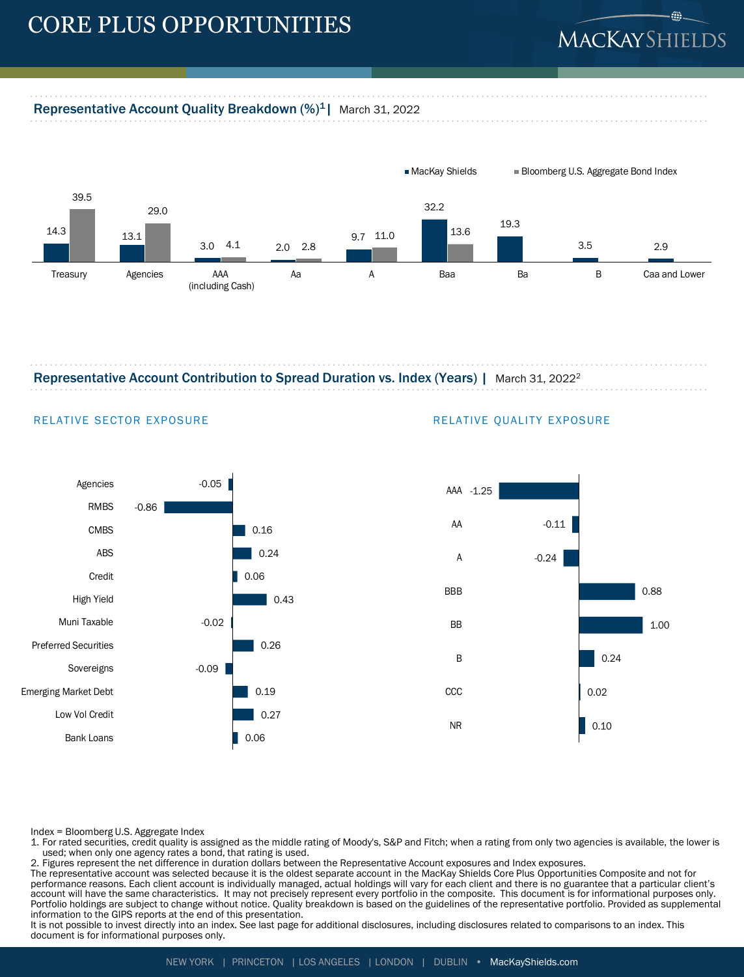## CORE PLUS OPPORTUNITIES

# MACKAYSHIELI

### Representative Account Quality Breakdown (%)<sup>1</sup> | March 31, 2022



Representative Account Contribution to Spread Duration vs. Index (Years) | March 31, 2022<sup>2</sup>



#### RELATIVE SECTOR EXPOSURE **RELATIVE QUALITY EXPOSURE**



Index = Bloomberg U.S. Aggregate Index

1. For rated securities, credit quality is assigned as the middle rating of Moody's, S&P and Fitch; when a rating from only two agencies is available, the lower is used; when only one agency rates a bond, that rating is used.

2. Figures represent the net difference in duration dollars between the Representative Account exposures and Index exposures.

The representative account was selected because it is the oldest separate account in the MacKay Shields Core Plus Opportunities Composite and not for performance reasons. Each client account is individually managed, actual holdings will vary for each client and there is no guarantee that a particular client's account will have the same characteristics. It may not precisely represent every portfolio in the composite. This document is for informational purposes only. Portfolio holdings are subject to change without notice. Quality breakdown is based on the guidelines of the representative portfolio. Provided as supplemental information to the GIPS reports at the end of this presentation.

It is not possible to invest directly into an index. See last page for additional disclosures, including disclosures related to comparisons to an index. This document is for informational purposes only.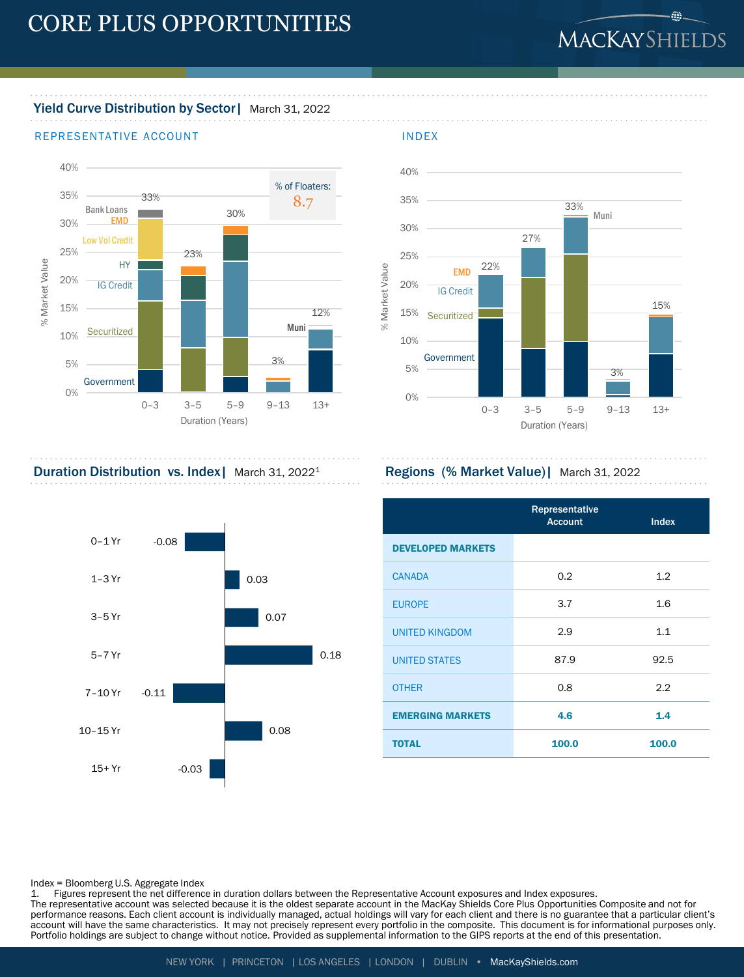# MACKAYSHIELDS

 $@-$ 

## Yield Curve Distribution by Sector | March 31, 2022

#### REPRESENTATIVE ACCOUNT **INDEX**





Duration Distribution vs. Index | March 31, 2022<sup>1</sup> Regions (% Market Value) | March 31, 2022



|                          | Representative<br><b>Account</b> | <b>Index</b> |
|--------------------------|----------------------------------|--------------|
| <b>DEVELOPED MARKETS</b> |                                  |              |
| <b>CANADA</b>            | 0.2                              | 1.2          |
| <b>EUROPE</b>            | 3.7                              | 1.6          |
| <b>UNITED KINGDOM</b>    | 2.9                              | 1.1          |
| <b>UNITED STATES</b>     | 87.9                             | 92.5         |
| <b>OTHER</b>             | 0.8                              | 2.2          |
| <b>EMERGING MARKETS</b>  | 4.6                              | 1.4          |
| <b>TOTAL</b>             | 100.0                            | 100.0        |

Index = Bloomberg U.S. Aggregate Index

1. Figures represent the net difference in duration dollars between the Representative Account exposures and Index exposures.

The representative account was selected because it is the oldest separate account in the MacKay Shields Core Plus Opportunities Composite and not for performance reasons. Each client account is individually managed, actual holdings will vary for each client and there is no guarantee that a particular client's account will have the same characteristics. It may not precisely represent every portfolio in the composite. This document is for informational purposes only. Portfolio holdings are subject to change without notice. Provided as supplemental information to the GIPS reports at the end of this presentation.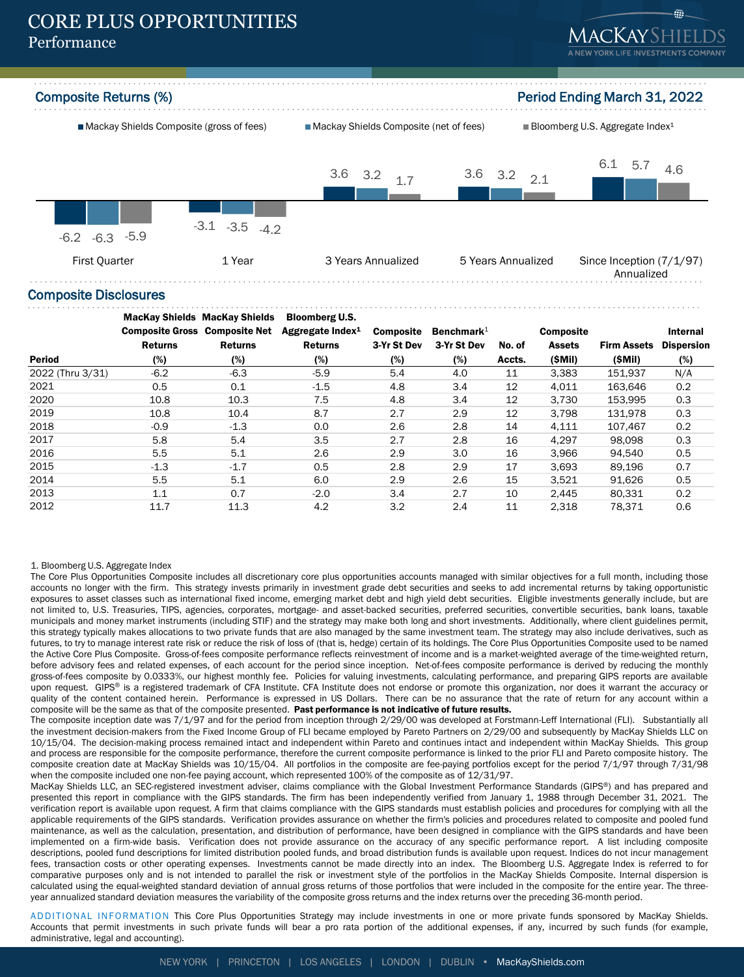## CORE PLUS OPPORTUNITIES Performance





#### Composite Disclosures

|                  | <b>MacKay Shields MacKay Shields</b> |                | <b>Bloomberg U.S.</b>        |                  |               |        |                  |                    |                   |
|------------------|--------------------------------------|----------------|------------------------------|------------------|---------------|--------|------------------|--------------------|-------------------|
|                  | <b>Composite Gross Composite Net</b> |                | Aggregate Index <sup>1</sup> | <b>Composite</b> | Benchmark $1$ |        | <b>Composite</b> |                    | Internal          |
|                  | <b>Returns</b>                       | <b>Returns</b> | <b>Returns</b>               | 3-Yr St Dev      | 3-Yr St Dev   | No. of | <b>Assets</b>    | <b>Firm Assets</b> | <b>Dispersion</b> |
| <b>Period</b>    | (%)                                  | (%)            | (%)                          | (%)              | (%)           | Accts. | (SMil)           | (SMil)             | (%)               |
| 2022 (Thru 3/31) | $-6.2$                               | $-6.3$         | $-5.9$                       | 5.4              | 4.0           | 11     | 3,383            | 151.937            | N/A               |
| 2021             | 0.5                                  | 0.1            | $-1.5$                       | 4.8              | 3.4           | 12     | 4.011            | 163.646            | 0.2               |
| 2020             | 10.8                                 | 10.3           | 7.5                          | 4.8              | 3.4           | 12     | 3.730            | 153.995            | 0.3               |
| 2019             | 10.8                                 | 10.4           | 8.7                          | 2.7              | 2.9           | 12     | 3.798            | 131.978            | 0.3               |
| 2018             | $-0.9$                               | $-1.3$         | 0.0                          | 2.6              | 2.8           | 14     | 4,111            | 107.467            | 0.2               |
| 2017             | 5.8                                  | 5.4            | 3.5                          | 2.7              | 2.8           | 16     | 4.297            | 98.098             | 0.3               |
| 2016             | 5.5                                  | 5.1            | 2.6                          | 2.9              | 3.0           | 16     | 3,966            | 94.540             | 0.5               |
| 2015             | $-1.3$                               | $-1.7$         | 0.5                          | 2.8              | 2.9           | 17     | 3.693            | 89.196             | 0.7               |
| 2014             | 5.5                                  | 5.1            | 6.0                          | 2.9              | 2.6           | 15     | 3,521            | 91,626             | 0.5               |
| 2013             | 1.1                                  | 0.7            | $-2.0$                       | 3.4              | 2.7           | 10     | 2.445            | 80.331             | 0.2               |
| 2012             | 11.7                                 | 11.3           | 4.2                          | 3.2              | 2.4           | 11     | 2.318            | 78.371             | 0.6               |

#### 1. Bloomberg U.S. Aggregate Index

The Core Plus Opportunities Composite includes all discretionary core plus opportunities accounts managed with similar objectives for a full month, including those accounts no longer with the firm. This strategy invests primarily in investment grade debt securities and seeks to add incremental returns by taking opportunistic exposures to asset classes such as international fixed income, emerging market debt and high yield debt securities. Eligible investments generally include, but are not limited to, U.S. Treasuries, TIPS, agencies, corporates, mortgage- and asset-backed securities, preferred securities, convertible securities, bank loans, taxable municipals and money market instruments (including STIF) and the strategy may make both long and short investments. Additionally, where client guidelines permit, this strategy typically makes allocations to two private funds that are also managed by the same investment team. The strategy may also include derivatives, such as futures, to try to manage interest rate risk or reduce the risk of loss of (that is, hedge) certain of its holdings. The Core Plus Opportunities Composite used to be named the Active Core Plus Composite. Gross-of-fees composite performance reflects reinvestment of income and is a market-weighted average of the time-weighted return, before advisory fees and related expenses, of each account for the period since inception. Net-of-fees composite performance is derived by reducing the monthly gross-of-fees composite by 0.0333%, our highest monthly fee. Policies for valuing investments, calculating performance, and preparing GIPS reports are available upon request. GIPS® is a registered trademark of CFA Institute. CFA Institute does not endorse or promote this organization, nor does it warrant the accuracy or quality of the content contained herein. Performance is expressed in US Dollars. There can be no assurance that the rate of return for any account within a composite will be the same as that of the composite presented. Past performance is not indicative of future results.

The composite inception date was 7/1/97 and for the period from inception through 2/29/00 was developed at Forstmann-Leff International (FLI). Substantially all the investment decision-makers from the Fixed Income Group of FLI became employed by Pareto Partners on 2/29/00 and subsequently by MacKay Shields LLC on 10/15/04. The decision-making process remained intact and independent within Pareto and continues intact and independent within MacKay Shields. This group and process are responsible for the composite performance, therefore the current composite performance is linked to the prior FLI and Pareto composite history. The composite creation date at MacKay Shields was 10/15/04. All portfolios in the composite are fee-paying portfolios except for the period 7/1/97 through 7/31/98 when the composite included one non-fee paying account, which represented 100% of the composite as of 12/31/97.

MacKay Shields LLC, an SEC-registered investment adviser, claims compliance with the Global Investment Performance Standards (GIPS®) and has prepared and presented this report in compliance with the GIPS standards. The firm has been independently verified from January 1, 1988 through December 31, 2021. The verification report is available upon request. A firm that claims compliance with the GIPS standards must establish policies and procedures for complying with all the applicable requirements of the GIPS standards. Verification provides assurance on whether the firm's policies and procedures related to composite and pooled fund maintenance, as well as the calculation, presentation, and distribution of performance, have been designed in compliance with the GIPS standards and have been implemented on a firm-wide basis. Verification does not provide assurance on the accuracy of any specific performance report. A list including composite descriptions, pooled fund descriptions for limited distribution pooled funds, and broad distribution funds is available upon request. Indices do not incur management fees, transaction costs or other operating expenses. Investments cannot be made directly into an index. The Bloomberg U.S. Aggregate Index is referred to for comparative purposes only and is not intended to parallel the risk or investment style of the portfolios in the MacKay Shields Composite. Internal dispersion is calculated using the equal-weighted standard deviation of annual gross returns of those portfolios that were included in the composite for the entire year. The threeyear annualized standard deviation measures the variability of the composite gross returns and the index returns over the preceding 36-month period.

ADDITIONAL INFORMATION This Core Plus Opportunities Strategy may include investments in one or more private funds sponsored by MacKay Shields. Accounts that permit investments in such private funds will bear a pro rata portion of the additional expenses, if any, incurred by such funds (for example, administrative, legal and accounting).